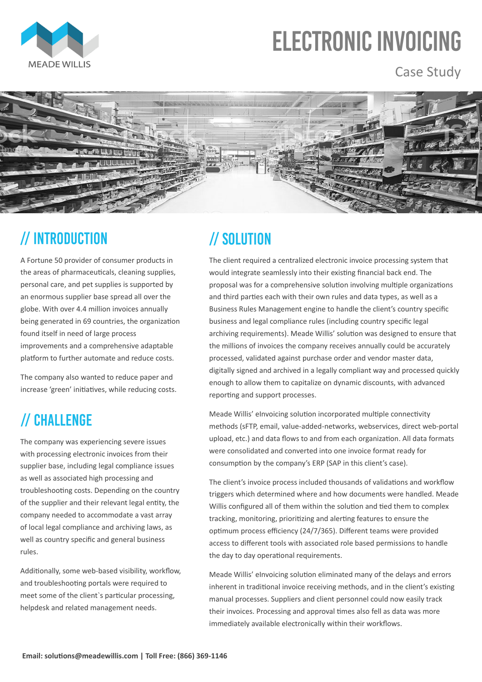

# **ELECTRONIC INVOICING**

#### Case Study



# // INTRODUCTION

A Fortune 50 provider of consumer products in the areas of pharmaceuticals, cleaning supplies, personal care, and pet supplies is supported by an enormous supplier base spread all over the globe. With over 4.4 million invoices annually being generated in 69 countries, the organization found itself in need of large process improvements and a comprehensive adaptable platform to further automate and reduce costs.

The company also wanted to reduce paper and increase 'green' initiatives, while reducing costs.

### // CHALLENGE

The client required a centralized electronic invoice processing system that would integrate seamlessly into their existing financial back end. The proposal was for a comprehensive solution involving multiple organizations and third parties each with their own rules and data types, as well as a Business Rules Management engine to handle the client's country specific business and legal compliance rules (including country specific legal archiving requirements). Meade Willis' solution was designed to ensure that the millions of invoices the company receives annually could be accurately processed, validated against purchase order and vendor master data, digitally signed and archived in a legally compliant way and processed quickly enough to allow them to capitalize on dynamic discounts, with advanced reporting and support processes.

Meade Willis' eInvoicing solution incorporated multiple connectivity methods (sFTP, email, value-added-networks, webservices, direct web-portal upload, etc.) and data flows to and from each organization. All data formats were consolidated and converted into one invoice format ready for consumption by the company's ERP (SAP in this client's case).

The client's invoice process included thousands of validations and workflow triggers which determined where and how documents were handled. Meade Willis configured all of them within the solution and tied them to complex

tracking, monitoring, prioritizing and alerting features to ensure the optimum process efficiency (24/7/365). Different teams were provided access to different tools with associated role based permissions to handle the day to day operational requirements.

Meade Willis' eInvoicing solution eliminated many of the delays and errors inherent in traditional invoice receiving methods, and in the client's existing manual processes. Suppliers and client personnel could now easily track their invoices. Processing and approval times also fell as data was more immediately available electronically within their workflows.

The company was experiencing severe issues with processing electronic invoices from their supplier base, including legal compliance issues as well as associated high processing and troubleshooting costs. Depending on the country of the supplier and their relevant legal entity, the

## // SOLUTION

company needed to accommodate a vast array

of local legal compliance and archiving laws, as well as country specific and general business rules.

Additionally, some web-based visibility, workflow, and troubleshooting portals were required to meet some of the client`s particular processing, helpdesk and related management needs.

**Email: solutions@meadewillis.com | Toll Free: (866) 369-1146**